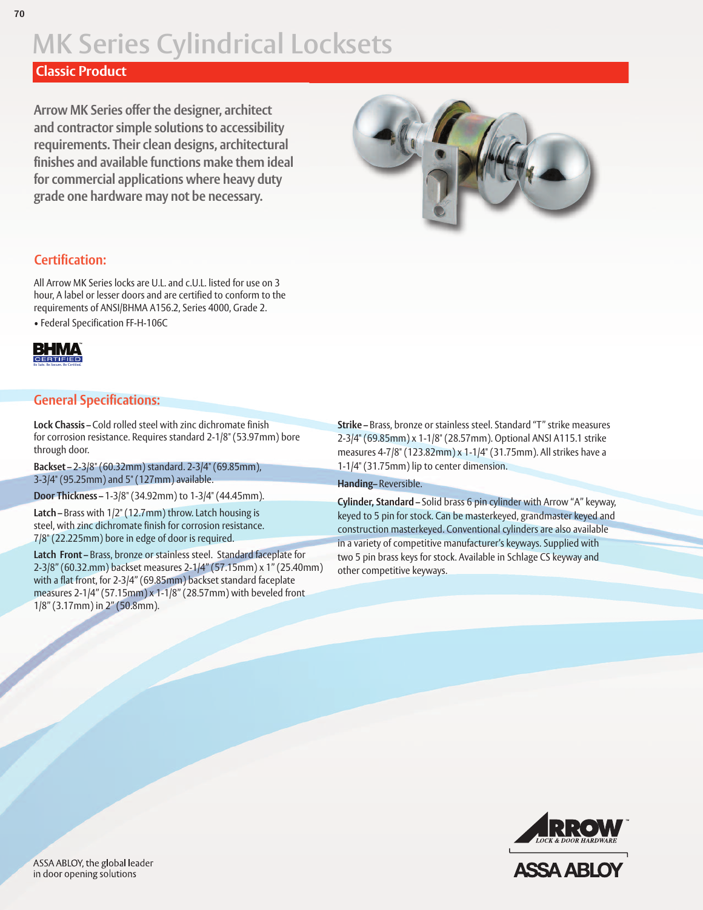## **Classic Product**

**Arrow MK Series offer the designer, architect and contractor simple solutions to accessibility requirements. Their clean designs, architectural finishes and available functions make them ideal for commercial applications where heavy duty grade one hardware may not be necessary.**



## **Certification:**

All Arrow MK Series locks are U.L. and c.U.L. listed for use on 3 hour, A label or lesser doors and are certified to conform to the requirements of ANSI/BHMA A156.2, Series 4000, Grade 2. • Federal Specification FF-H-106C



### **General Specifications:**

**Lock Chassis –** Cold rolled steel with zinc dichromate finish for corrosion resistance. Requires standard 2-1/8" (53.97mm) bore through door.

**Backset –** 2-3/8" (60.32mm) standard. 2-3/4" (69.85mm), 3-3/4" (95.25mm) and 5" (127mm) available.

**Door Thickness –** 1-3/8" (34.92mm) to 1-3/4" (44.45mm).

**Latch –** Brass with 1/2" (12.7mm) throw. Latch housing is steel, with zinc dichromate finish for corrosion resistance. 7/8" (22.225mm) bore in edge of door is required.

**Latch Front –** Brass, bronze or stainless steel. Standard faceplate for 2-3/8" (60.32.mm) backset measures 2-1/4" (57.15mm) x 1" (25.40mm) with a flat front, for 2-3/4" (69.85mm) backset standard faceplate measures 2-1/4" (57.15mm) x 1-1/8" (28.57mm) with beveled front 1/8" (3.17mm) in 2" (50.8mm).

**Strike –** Brass, bronze or stainless steel. Standard "T" strike measures 2-3/4" (69.85mm) x 1-1/8" (28.57mm). Optional ANSI A115.1 strike measures 4-7/8" (123.82mm) x 1-1/4" (31.75mm). All strikes have a 1-1/4" (31.75mm) lip to center dimension.

#### **Handing–** Reversible.

**Cylinder, Standard –** Solid brass 6 pin cylinder with Arrow "A" keyway, keyed to 5 pin for stock. Can be masterkeyed, grandmaster keyed and construction masterkeyed. Conventional cylinders are also available in a variety of competitive manufacturer's keyways. Supplied with two 5 pin brass keys for stock. Available in Schlage CS keyway and other competitive keyways.



ASSA ABLOY, the global leader in door opening solutions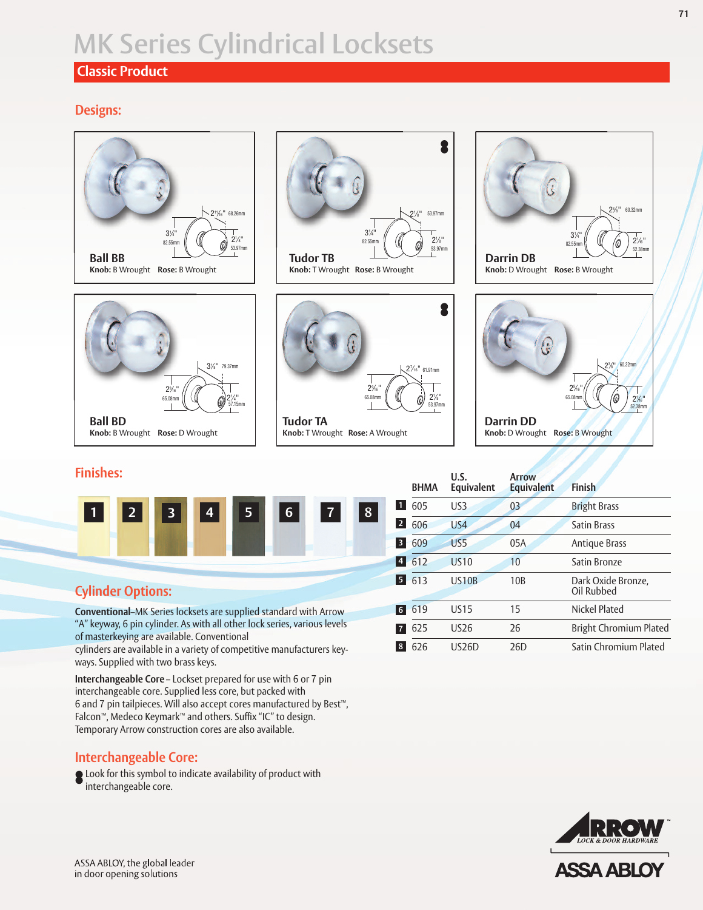## **Classic Product**

## **Designs:**



|                                                                                                                                                                                                                                                                                                       | $\overline{2}$<br>606 | US <sub>4</sub> |
|-------------------------------------------------------------------------------------------------------------------------------------------------------------------------------------------------------------------------------------------------------------------------------------------------------|-----------------------|-----------------|
|                                                                                                                                                                                                                                                                                                       | 3 609                 | US5             |
|                                                                                                                                                                                                                                                                                                       | 4 612                 | <b>US10</b>     |
| <b>Cylinder Options:</b>                                                                                                                                                                                                                                                                              | 5 613                 | <b>US10B</b>    |
| Conventional-MK Series locksets are supplied standard with Arrow<br>$\alpha$ , and the state of the state of the state of the state of the state of the state of the state of the state of the state of the state of the state of the state of the state of the state of the state of the state of th | $6 \ 619$             | <b>US15</b>     |

**Convent** "A" keyway, 6 pin cylinder. As with all other lock series, various levels of masterkeying are available. Conventional

cylinders are available in a variety of competitive manufacturers keyways. Supplied with two brass keys.

**Interchangeable Core** – Lockset prepared for use with 6 or 7 pin interchangeable core. Supplied less core, but packed with 6 and 7 pin tailpieces. Will also accept cores manufactured by Best™, Falcon™, Medeco Keymark™ and others. Suffix "IC" to design. Temporary Arrow construction cores are also available.

### **Interchangeable Core:**

**Q** Look for this symbol to indicate availability of product with interchangeable core.



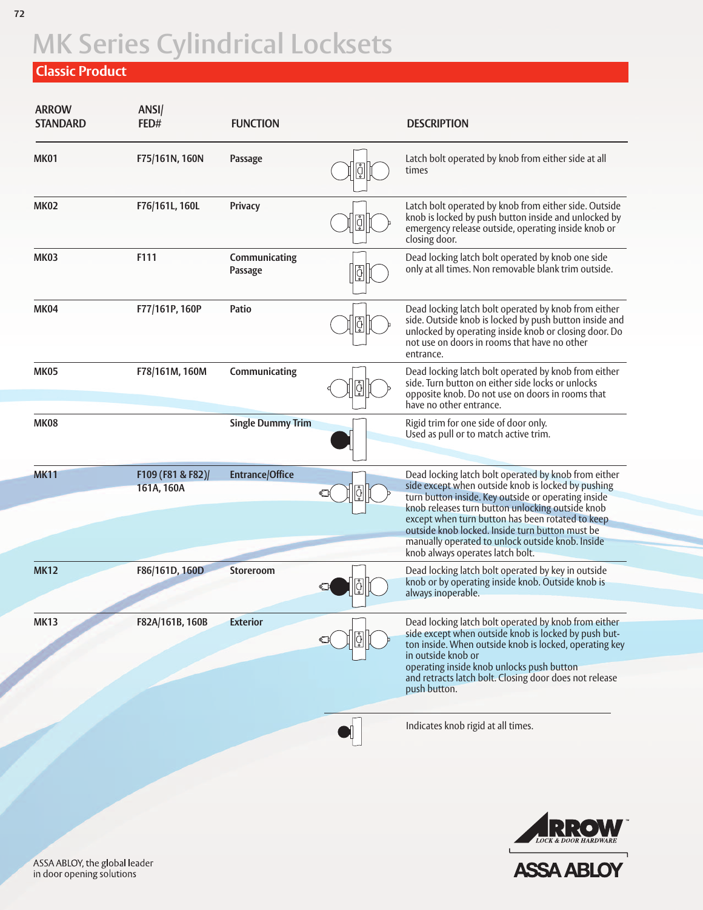## **Classic Product**

| <b>ARROW</b><br><b>STANDARD</b> | ANSI/<br>FED#                   | <b>FUNCTION</b>          |               | <b>DESCRIPTION</b>                                                                                                                                                                                                                                                                                                                                                                                                   |
|---------------------------------|---------------------------------|--------------------------|---------------|----------------------------------------------------------------------------------------------------------------------------------------------------------------------------------------------------------------------------------------------------------------------------------------------------------------------------------------------------------------------------------------------------------------------|
| <b>MK01</b>                     | F75/161N, 160N                  | Passage                  |               | Latch bolt operated by knob from either side at all<br>times                                                                                                                                                                                                                                                                                                                                                         |
| <b>MK02</b>                     | F76/161L, 160L                  | <b>Privacy</b>           | $\frac{1}{2}$ | Latch bolt operated by knob from either side. Outside<br>knob is locked by push button inside and unlocked by<br>emergency release outside, operating inside knob or<br>closing door.                                                                                                                                                                                                                                |
| <b>MK03</b>                     | F111                            | Communicating<br>Passage | $\sqrt{6}$    | Dead locking latch bolt operated by knob one side<br>only at all times. Non removable blank trim outside.                                                                                                                                                                                                                                                                                                            |
| <b>MK04</b>                     | F77/161P, 160P                  | Patio                    | ģ             | Dead locking latch bolt operated by knob from either<br>side. Outside knob is locked by push button inside and<br>unlocked by operating inside knob or closing door. Do<br>not use on doors in rooms that have no other<br>entrance.                                                                                                                                                                                 |
| <b>MK05</b>                     | F78/161M, 160M                  | Communicating            |               | Dead locking latch bolt operated by knob from either<br>side. Turn button on either side locks or unlocks<br>opposite knob. Do not use on doors in rooms that<br>have no other entrance.                                                                                                                                                                                                                             |
| <b>MK08</b>                     |                                 | <b>Single Dummy Trim</b> |               | Rigid trim for one side of door only.<br>Used as pull or to match active trim.                                                                                                                                                                                                                                                                                                                                       |
| <b>MK11</b>                     | F109 (F81 & F82)/<br>161A, 160A | <b>Entrance/Office</b>   |               | Dead locking latch bolt operated by knob from either<br>side except when outside knob is locked by pushing<br>turn button inside. Key outside or operating inside<br>knob releases turn button unlocking outside knob<br>except when turn button has been rotated to keep<br>outside knob locked. Inside turn button must be<br>manually operated to unlock outside knob. Inside<br>knob always operates latch bolt. |
| <b>MK12</b>                     | F86/161D, 160D                  | Storeroom                |               | Dead locking latch bolt operated by key in outside<br>knob or by operating inside knob. Outside knob is<br>always inoperable.                                                                                                                                                                                                                                                                                        |
| <b>MK13</b>                     | F82A/161B, 160B                 | <b>Exterior</b>          |               | Dead locking latch bolt operated by knob from either<br>side except when outside knob is locked by push but-<br>ton inside. When outside knob is locked, operating key<br>in outside knob or<br>operating inside knob unlocks push button<br>and retracts latch bolt. Closing door does not release<br>push button.                                                                                                  |
|                                 |                                 |                          |               | Indicates knob rigid at all times.                                                                                                                                                                                                                                                                                                                                                                                   |



ASSA ABLOY, the global leader<br>in door opening solutions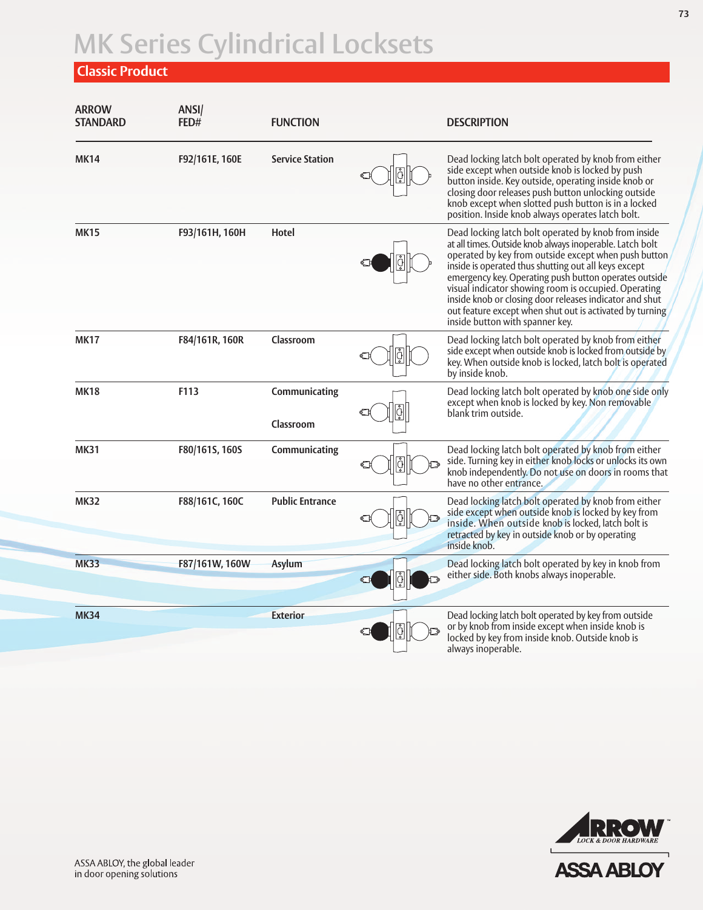## **Classic Product**

| <b>ARROW</b><br><b>STANDARD</b> | ANSI/<br>FED#  | <b>FUNCTION</b>            |   | <b>DESCRIPTION</b>                                                                                                                                                                                                                                                                                                                                                                                                                                                                                          |
|---------------------------------|----------------|----------------------------|---|-------------------------------------------------------------------------------------------------------------------------------------------------------------------------------------------------------------------------------------------------------------------------------------------------------------------------------------------------------------------------------------------------------------------------------------------------------------------------------------------------------------|
| <b>MK14</b>                     | F92/161E, 160E | <b>Service Station</b>     |   | Dead locking latch bolt operated by knob from either<br>side except when outside knob is locked by push<br>button inside. Key outside, operating inside knob or<br>closing door releases push button unlocking outside<br>knob except when slotted push button is in a locked<br>position. Inside knob always operates latch bolt.                                                                                                                                                                          |
| <b>MK15</b>                     | F93/161H, 160H | Hotel                      |   | Dead locking latch bolt operated by knob from inside<br>at all times. Outside knob always inoperable. Latch bolt<br>operated by key from outside except when push button<br>inside is operated thus shutting out all keys except<br>emergency key. Operating push button operates outside<br>visual indicator showing room is occupied. Operating<br>inside knob or closing door releases indicator and shut<br>out feature except when shut out is activated by turning<br>inside button with spanner key. |
| <b>MK17</b>                     | F84/161R, 160R | Classroom                  |   | Dead locking latch bolt operated by knob from either<br>side except when outside knob is locked from outside by<br>key. When outside knob is locked, latch bolt is operated<br>by inside knob.                                                                                                                                                                                                                                                                                                              |
| <b>MK18</b>                     | F113           | Communicating<br>Classroom |   | Dead locking latch bolt operated by knob one side only<br>except when knob is locked by key. Non removable<br>blank trim outside.                                                                                                                                                                                                                                                                                                                                                                           |
| <b>MK31</b>                     | F80/161S, 160S | Communicating              |   | Dead locking latch bolt operated by knob from either<br>side. Turning key in either knob locks or unlocks its own<br>knob independently. Do not use on doors in rooms that<br>have no other entrance.                                                                                                                                                                                                                                                                                                       |
| <b>MK32</b>                     | F88/161C, 160C | <b>Public Entrance</b>     |   | Dead locking latch bolt operated by knob from either<br>side except when outside knob is locked by key from<br>inside. When outside knob is locked, latch bolt is<br>retracted by key in outside knob or by operating<br>inside knob.                                                                                                                                                                                                                                                                       |
| <b>MK33</b>                     | F87/161W, 160W | <b>Asylum</b>              | Ů | Dead locking latch bolt operated by key in knob from<br>either side. Both knobs always inoperable.                                                                                                                                                                                                                                                                                                                                                                                                          |
| <b>MK34</b>                     |                | <b>Exterior</b>            |   | Dead locking latch bolt operated by key from outside<br>or by knob from inside except when inside knob is<br>locked by key from inside knob. Outside knob is<br>always inoperable.                                                                                                                                                                                                                                                                                                                          |

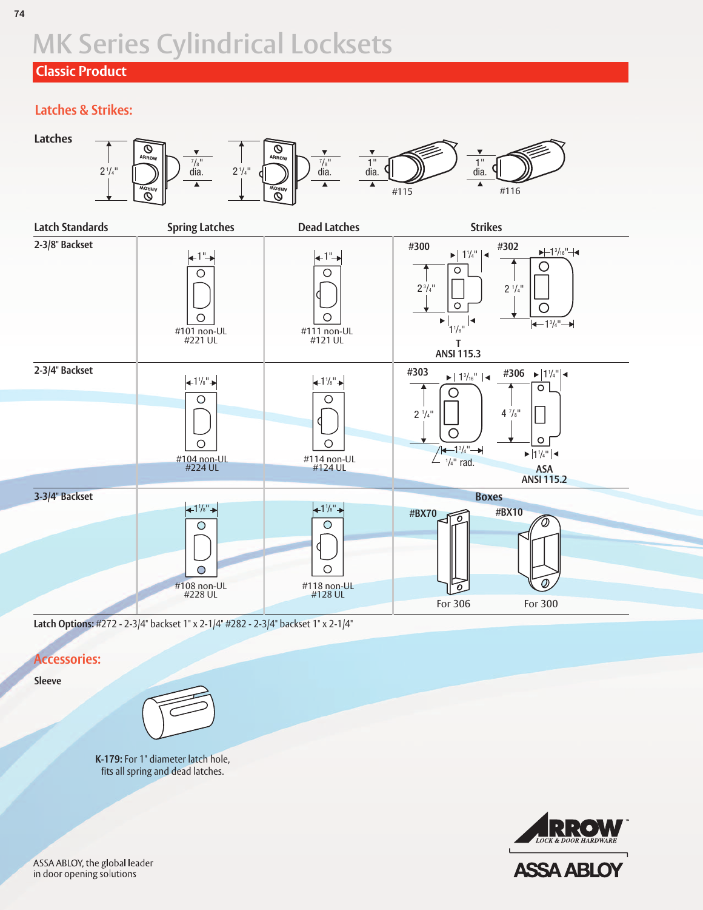## **Classic Product**

## **Latches & Strikes:**



**Latch Options:** #272 - 2-3/4" backset 1" x 2-1/4" #282 - 2-3/4" backset 1" x 2-1/4"

### **Accessories:**

**Sleeve**



**K-179:** For 1" diameter latch hole, fits all spring and dead latches.

**ASSA ABLOY** 

ASSA ABLOY, the global leader in door opening solutions